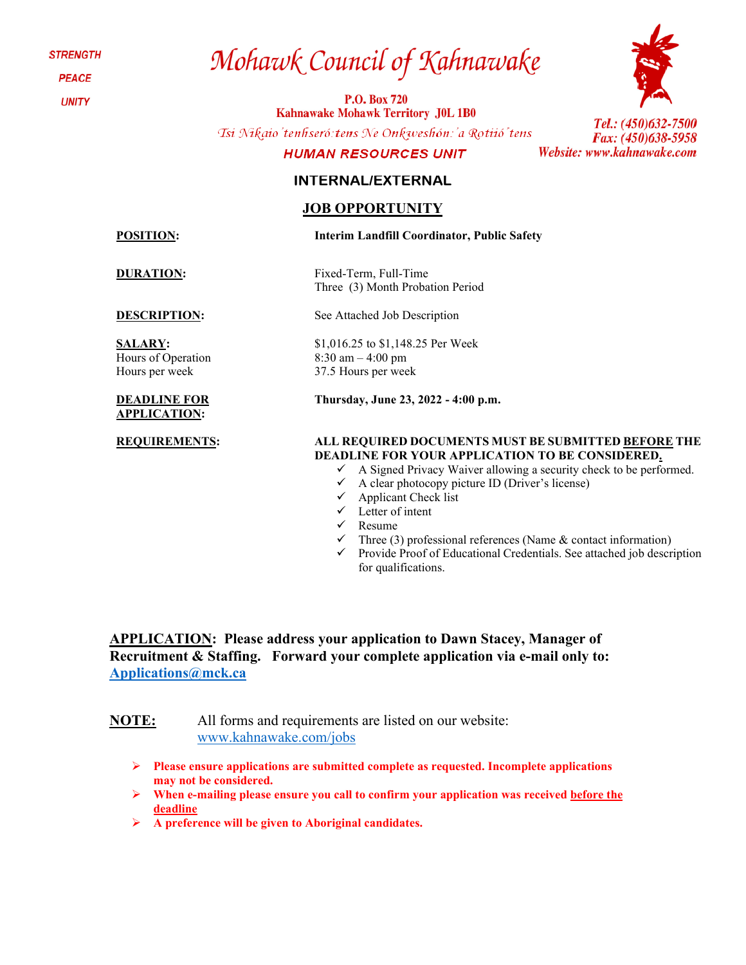**STRENGTH** 

**PEACE** 

**UNITY** 

# Mohawk Council of Kahnawake

**P.O. Box 720 Kahnawake Mohawk Territory J0L 1B0** 

Tsi Nikaio'tenhseró: tens Ne Onkweshón: 'a Rotiió' tens

### **HUMAN RESOURCES UNIT**

### **INTERNAL/EXTERNAL**

### **JOB OPPORTUNITY**

**POSITION: Interim Landfill Coordinator, Public Safety**

**DESCRIPTION:** See Attached Job Description

**SALARY:**  Hours of Operation Hours per week

#### **DEADLINE FOR APPLICATION:**

Tel.: (450)632-7500 Fax: (450)638-5958 Website: www.kahnawake.com

**DURATION:** Fixed-Term, Full-Time Three (3) Month Probation Period

\$1,016.25 to \$1,148.25 Per Week

8:30 am – 4:00 pm 37.5 Hours per week

**Thursday, June 23, 2022 - 4:00 p.m.**

### **REQUIREMENTS: ALL REQUIRED DOCUMENTS MUST BE SUBMITTED BEFORE THE DEADLINE FOR YOUR APPLICATION TO BE CONSIDERED.**

- $\checkmark$  A Signed Privacy Waiver allowing a security check to be performed.
- $\checkmark$  A clear photocopy picture ID (Driver's license)
- $\checkmark$  Applicant Check list
- $\checkmark$  Letter of intent
- $\checkmark$  Resume
- Three (3) professional references (Name & contact information)
- $\checkmark$  Provide Proof of Educational Credentials. See attached job description for qualifications.

**APPLICATION: Please address your application to Dawn Stacey, Manager of Recruitment & Staffing. Forward your complete application via e-mail only to: [Applications@mck.ca](mailto:Applications@mck.ca)**

**NOTE:** All forms and requirements are listed on our website: [www.kahnawake.com/jobs](http://www.kahnawake.com/jobs)

- **Please ensure applications are submitted complete as requested. Incomplete applications may not be considered.**
- **When e-mailing please ensure you call to confirm your application was received before the deadline**
- **A preference will be given to Aboriginal candidates.**

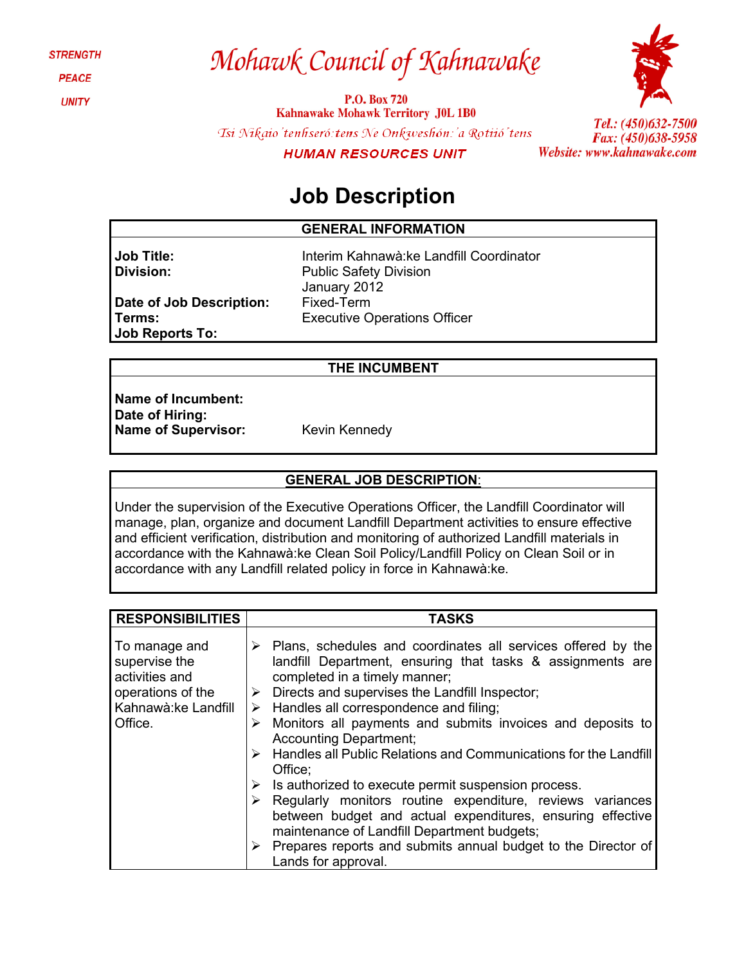**STRENGTH** 

**PEACE** 

**UNITY** 

# Mohawk Council of Kahnawake

**P.O. Box 720 Kahnawake Mohawk Territory J0L 1B0** Tsi Nikaio'tenhseró: tens Ne Onkweshón: 'a Rotiió' tens **HUMAN RESOURCES UNIT** 



Tel.: (450)632-7500 Fax: (450)638-5958 Website: www.kahnawake.com

### **Job Description**

### **GENERAL INFORMATION**

**Job Title: Division:**

**Terms:**

Interim Kahnawà:ke Landfill Coordinator Public Safety Division January 2012 Fixed-Term Executive Operations Officer

### **THE INCUMBENT**

**Name of Incumbent: Date of Hiring:** Name of Supervisor: Kevin Kennedy

**Job Reports To:**

**Date of Job Description:**

### **GENERAL JOB DESCRIPTION**:

Under the supervision of the Executive Operations Officer, the Landfill Coordinator will manage, plan, organize and document Landfill Department activities to ensure effective and efficient verification, distribution and monitoring of authorized Landfill materials in accordance with the Kahnawà:ke Clean Soil Policy/Landfill Policy on Clean Soil or in accordance with any Landfill related policy in force in Kahnawà:ke.

| <b>RESPONSIBILITIES</b>                                                                                  | <b>TASKS</b>                                                                                                                                                                                                                                                                                                                                                                                                                                                                                                                                                                                                                                                                                                           |
|----------------------------------------------------------------------------------------------------------|------------------------------------------------------------------------------------------------------------------------------------------------------------------------------------------------------------------------------------------------------------------------------------------------------------------------------------------------------------------------------------------------------------------------------------------------------------------------------------------------------------------------------------------------------------------------------------------------------------------------------------------------------------------------------------------------------------------------|
| To manage and<br>supervise the<br>activities and<br>operations of the<br>Kahnawà: ke Landfill<br>Office. | $\triangleright$ Plans, schedules and coordinates all services offered by the<br>landfill Department, ensuring that tasks & assignments are<br>completed in a timely manner;<br>Directs and supervises the Landfill Inspector;<br>➤<br>$\triangleright$ Handles all correspondence and filing;<br>Monitors all payments and submits invoices and deposits to<br>➤<br><b>Accounting Department;</b><br>$\triangleright$ Handles all Public Relations and Communications for the Landfill<br>Office:<br>$\triangleright$ Is authorized to execute permit suspension process.<br>$\triangleright$ Regularly monitors routine expenditure, reviews variances<br>between budget and actual expenditures, ensuring effective |
|                                                                                                          | maintenance of Landfill Department budgets;<br>Prepares reports and submits annual budget to the Director of<br>➤                                                                                                                                                                                                                                                                                                                                                                                                                                                                                                                                                                                                      |
|                                                                                                          | Lands for approval.                                                                                                                                                                                                                                                                                                                                                                                                                                                                                                                                                                                                                                                                                                    |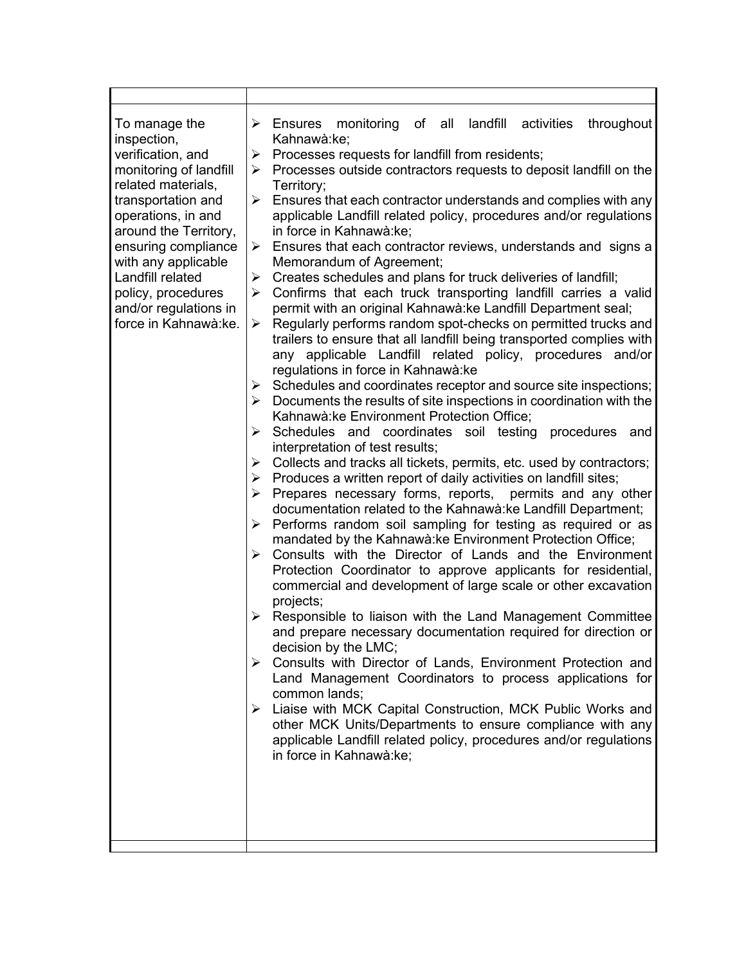| To manage the<br>inspection,<br>verification, and<br>monitoring of landfill<br>related materials,<br>transportation and<br>operations, in and<br>around the Territory,<br>ensuring compliance<br>with any applicable<br>Landfill related<br>policy, procedures<br>and/or regulations in<br>force in Kahnawà:ke. | landfill<br>$\triangleright$ Ensures monitoring<br>of all<br>activities<br>throughout<br>Kahnawà:ke;<br>Processes requests for landfill from residents;<br>➤<br>Processes outside contractors requests to deposit landfill on the<br>➤<br>Territory;<br>Ensures that each contractor understands and complies with any<br>➤<br>applicable Landfill related policy, procedures and/or regulations<br>in force in Kahnawà:ke;<br>Ensures that each contractor reviews, understands and signs a<br>➤<br>Memorandum of Agreement;<br>Creates schedules and plans for truck deliveries of landfill;<br>➤<br>Confirms that each truck transporting landfill carries a valid<br>≻<br>permit with an original Kahnawà: ke Landfill Department seal;<br>Regularly performs random spot-checks on permitted trucks and<br>➤<br>trailers to ensure that all landfill being transported complies with<br>any applicable Landfill related policy, procedures and/or<br>regulations in force in Kahnawà: ke<br>$\triangleright$ Schedules and coordinates receptor and source site inspections;<br>$\triangleright$ Documents the results of site inspections in coordination with the<br>Kahnawà: ke Environment Protection Office;<br>Schedules and coordinates soil testing<br>≻<br>procedures<br>and<br>interpretation of test results;<br>Collects and tracks all tickets, permits, etc. used by contractors;<br>➤<br>Produces a written report of daily activities on landfill sites;<br>➤<br>Prepares necessary forms, reports, permits and any other<br>➤<br>documentation related to the Kahnawà: ke Landfill Department;<br>Performs random soil sampling for testing as required or as<br>➤<br>mandated by the Kahnawà: ke Environment Protection Office;<br>Consults with the Director of Lands and the Environment<br>$\blacktriangleright$<br>Protection Coordinator to approve applicants for residential,<br>commercial and development of large scale or other excavation<br>projects;<br>Responsible to liaison with the Land Management Committee<br>➤<br>and prepare necessary documentation required for direction or<br>decision by the LMC;<br>Consults with Director of Lands, Environment Protection and<br>≻<br>Land Management Coordinators to process applications for<br>common lands;<br>Liaise with MCK Capital Construction, MCK Public Works and<br>➤<br>other MCK Units/Departments to ensure compliance with any<br>applicable Landfill related policy, procedures and/or regulations<br>in force in Kahnawà:ke; |
|-----------------------------------------------------------------------------------------------------------------------------------------------------------------------------------------------------------------------------------------------------------------------------------------------------------------|---------------------------------------------------------------------------------------------------------------------------------------------------------------------------------------------------------------------------------------------------------------------------------------------------------------------------------------------------------------------------------------------------------------------------------------------------------------------------------------------------------------------------------------------------------------------------------------------------------------------------------------------------------------------------------------------------------------------------------------------------------------------------------------------------------------------------------------------------------------------------------------------------------------------------------------------------------------------------------------------------------------------------------------------------------------------------------------------------------------------------------------------------------------------------------------------------------------------------------------------------------------------------------------------------------------------------------------------------------------------------------------------------------------------------------------------------------------------------------------------------------------------------------------------------------------------------------------------------------------------------------------------------------------------------------------------------------------------------------------------------------------------------------------------------------------------------------------------------------------------------------------------------------------------------------------------------------------------------------------------------------------------------------------------------------------------------------------------------------------------------------------------------------------------------------------------------------------------------------------------------------------------------------------------------------------------------------------------------------------------------------------------------------------------------------------------------------------------------------------------------------------------------------------|